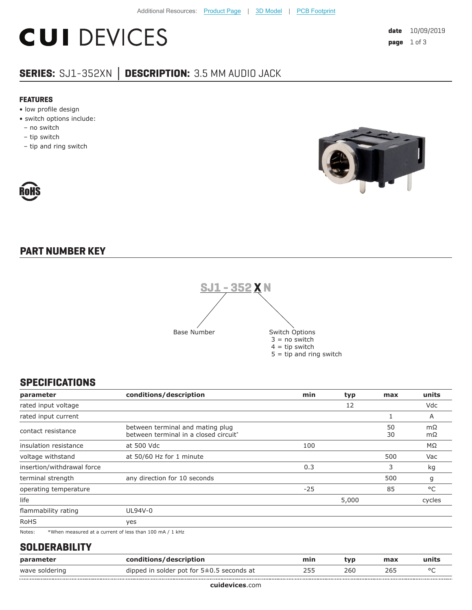# **CUI DEVICES**

#### **SERIES:** SJ1-352XN **│ DESCRIPTION:** 3.5 MM AUDIO JACK

#### **FEATURES**

- low profile design
- switch options include:
- no switch
- tip switch

RoHS

– tip and ring switch



### **PART NUMBER KEY**



#### **SPECIFICATIONS**

| parameter                  | conditions/description                                                    | min   | typ   | max      | units           |
|----------------------------|---------------------------------------------------------------------------|-------|-------|----------|-----------------|
| rated input voltage        |                                                                           |       | 12    |          | Vdc             |
| rated input current        |                                                                           |       |       |          | A               |
| contact resistance         | between terminal and mating plug<br>between terminal in a closed circuit* |       |       | 50<br>30 | mΩ<br>$m\Omega$ |
| insulation resistance      | at 500 Vdc                                                                | 100   |       |          | $M\Omega$       |
| voltage withstand          | at 50/60 Hz for 1 minute                                                  |       |       | 500      | Vac             |
| insertion/withdrawal force |                                                                           | 0.3   |       | 3        | kg              |
| terminal strength          | any direction for 10 seconds                                              |       |       | 500      | g               |
| operating temperature      |                                                                           | $-25$ |       | 85       | °C              |
| life                       |                                                                           |       | 5,000 |          | cycles          |
| flammability rating        | UL94V-0                                                                   |       |       |          |                 |
| <b>RoHS</b>                | yes                                                                       |       |       |          |                 |
| Notes:                     | *When measured at a current of less than 100 mA / 1 kHz                   |       |       |          |                 |

#### **SOLDERABILITY**

| param          | tions/description                             | mın |     | max | ∴unit∟  |
|----------------|-----------------------------------------------|-----|-----|-----|---------|
| wave soldering | dipped in solder pot for $5\pm0.5$ seconds at | ـ ت | zou |     | $\circ$ |
|                |                                               |     |     |     |         |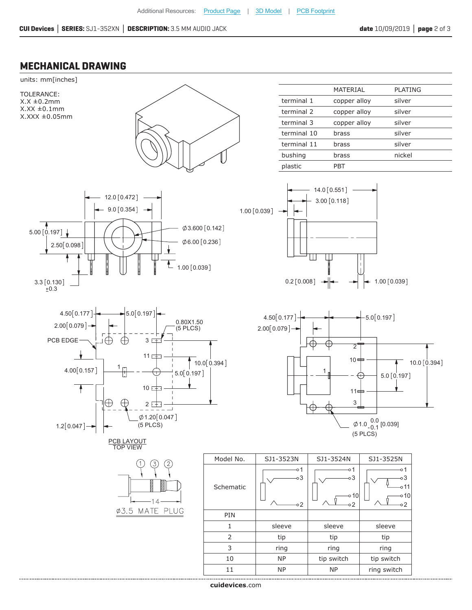#### **MECHANICAL DRAWING**



**cui[devices](https://www.cuidevices.com/track?actionLabel=Datasheet-ClickThrough-HomePage&label=SJ1-352XN.pdf&path=/)**.com